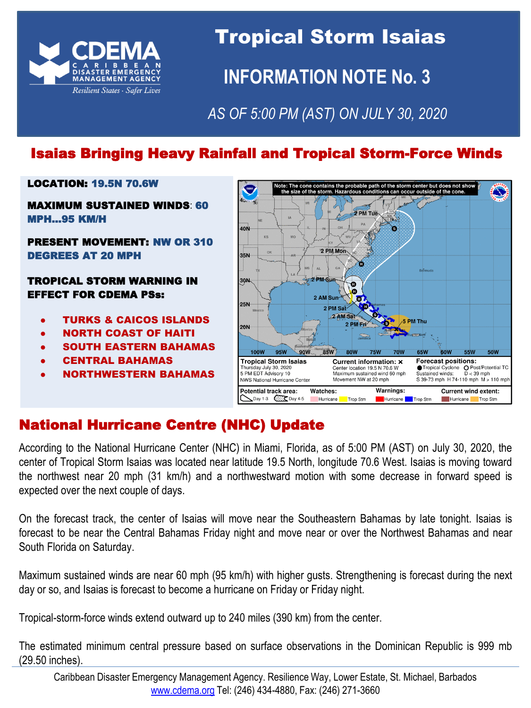

# Tropical Storm Isaias **INFORMATION NOTE No. 3**

# *AS OF 5:00 PM (AST) ON JULY 30, 2020*

## Isaias Bringing Heavy Rainfall and Tropical Storm-Force Winds

#### LOCATION: 19.5N 70.6W

MAXIMUM SUSTAINED WINDS: 60 MPH...95 KM/H

#### PRESENT MOVEMENT: NW OR 310 DEGREES AT 20 MPH

#### TROPICAL STORM WARNING IN EFFECT FOR CDEMA PSs:

- **TURKS & CAICOS ISLANDS**
- NORTH COAST OF HAITI
- **SOUTH EASTERN BAHAMAS**
- **CENTRAL BAHAMAS**
- NORTHWESTERN BAHAMAS



## National Hurricane Centre (NHC) Update

According to the National Hurricane Center (NHC) in Miami, Florida, as of 5:00 PM (AST) on July 30, 2020, the center of Tropical Storm Isaias was located near latitude 19.5 North, longitude 70.6 West. Isaias is moving toward the northwest near 20 mph (31 km/h) and a northwestward motion with some decrease in forward speed is expected over the next couple of days.

On the forecast track, the center of Isaias will move near the Southeastern Bahamas by late tonight. Isaias is forecast to be near the Central Bahamas Friday night and move near or over the Northwest Bahamas and near South Florida on Saturday.

Maximum sustained winds are near 60 mph (95 km/h) with higher gusts. Strengthening is forecast during the next day or so, and Isaias is forecast to become a hurricane on Friday or Friday night.

Tropical-storm-force winds extend outward up to 240 miles (390 km) from the center.

The estimated minimum central pressure based on surface observations in the Dominican Republic is 999 mb (29.50 inches).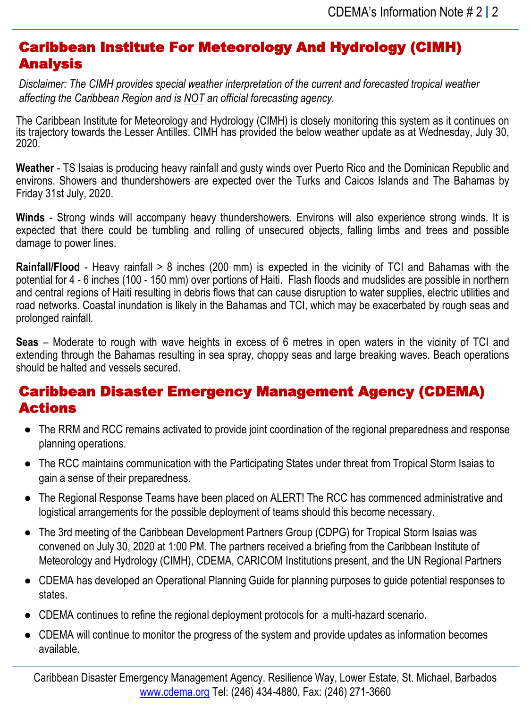#### Caribbean Institute For Meteorology And Hydrology (CIMH) Analysis

*Disclaimer: The CIMH provides special weather interpretation of the current and forecasted tropical weather affecting the Caribbean Region and is NOT an official forecasting agency.*

The Caribbean Institute for Meteorology and Hydrology (CIMH) is closely monitoring this system as it continues on its trajectory towards the Lesser Antilles. CIMH has provided the below weather update as at Wednesday, July 30, 2020.

**Weather** - TS Isaias is producing heavy rainfall and gusty winds over Puerto Rico and the Dominican Republic and environs. Showers and thundershowers are expected over the Turks and Caicos Islands and The Bahamas by Friday 31st July, 2020.

**Winds** - Strong winds will accompany heavy thundershowers. Environs will also experience strong winds. It is expected that there could be tumbling and rolling of unsecured objects, falling limbs and trees and possible damage to power lines.

**Rainfall/Flood** - Heavy rainfall > 8 inches (200 mm) is expected in the vicinity of TCI and Bahamas with the potential for 4 - 6 inches (100 - 150 mm) over portions of Haiti. Flash floods and mudslides are possible in northern and central regions of Haiti resulting in debris flows that can cause disruption to water supplies, electric utilities and road networks. Coastal inundation is likely in the Bahamas and TCI, which may be exacerbated by rough seas and prolonged rainfall.

**Seas** – Moderate to rough with wave heights in excess of 6 metres in open waters in the vicinity of TCI and extending through the Bahamas resulting in sea spray, choppy seas and large breaking waves. Beach operations should be halted and vessels secured.

#### Caribbean Disaster Emergency Management Agency (CDEMA) Actions

- The RRM and RCC remains activated to provide joint coordination of the regional preparedness and response planning operations.
- The RCC maintains communication with the Participating States under threat from Tropical Storm Isaias to gain a sense of their preparedness.
- The Regional Response Teams have been placed on ALERT! The RCC has commenced administrative and logistical arrangements for the possible deployment of teams should this become necessary.
- The 3rd meeting of the Caribbean Development Partners Group (CDPG) for Tropical Storm Isaias was convened on July 30, 2020 at 1:00 PM. The partners received a briefing from the Caribbean Institute of Meteorology and Hydrology (CIMH), CDEMA, CARICOM Institutions present, and the UN Regional Partners
- CDEMA has developed an Operational Planning Guide for planning purposes to guide potential responses to states.
- CDEMA continues to refine the regional deployment protocols for a multi-hazard scenario.
- CDEMA will continue to monitor the progress of the system and provide updates as information becomes available.

Caribbean Disaster Emergency Management Agency. Resilience Way, Lower Estate, St. Michael, Barbados [www.cdema.org](http://www.cdema.org/) Tel: (246) 434-4880, Fax: (246) 271-3660